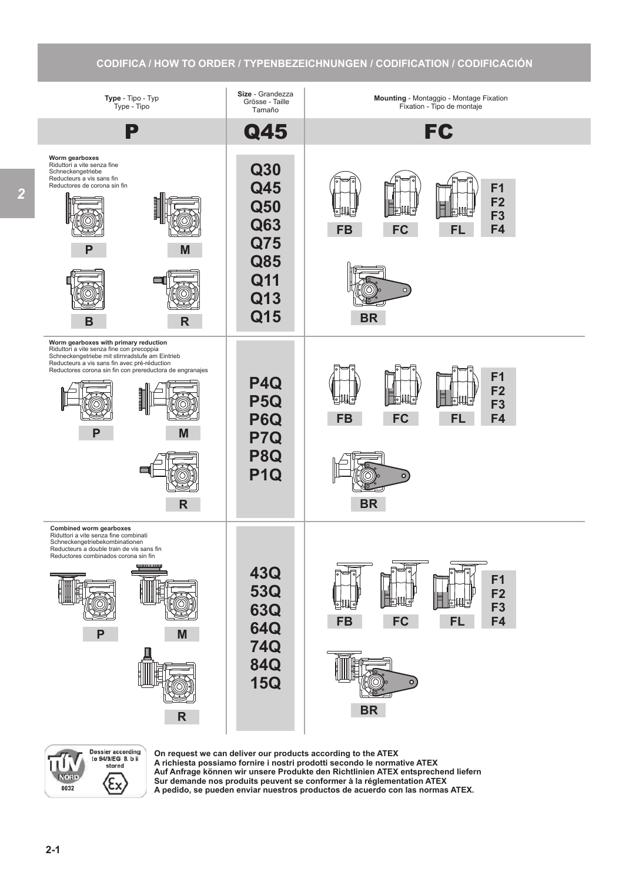## **CODIFICA / HOW TO ORDER / TYPENBEZEICHNUNGEN / CODIFICATION / CODIFICACIÓN**





**On request we can deliver our products according to the ATEX A richiesta possiamo fornire i nostri prodotti secondo le normative ATEX Auf Anfrage können wir unsere Produkte den Richtlinien ATEX entsprechend liefern Sur demande nos produits peuvent se conformer à la réglementation ATEX A pedido, se pueden enviar nuestros productos de acuerdo con las normas ATEX.**